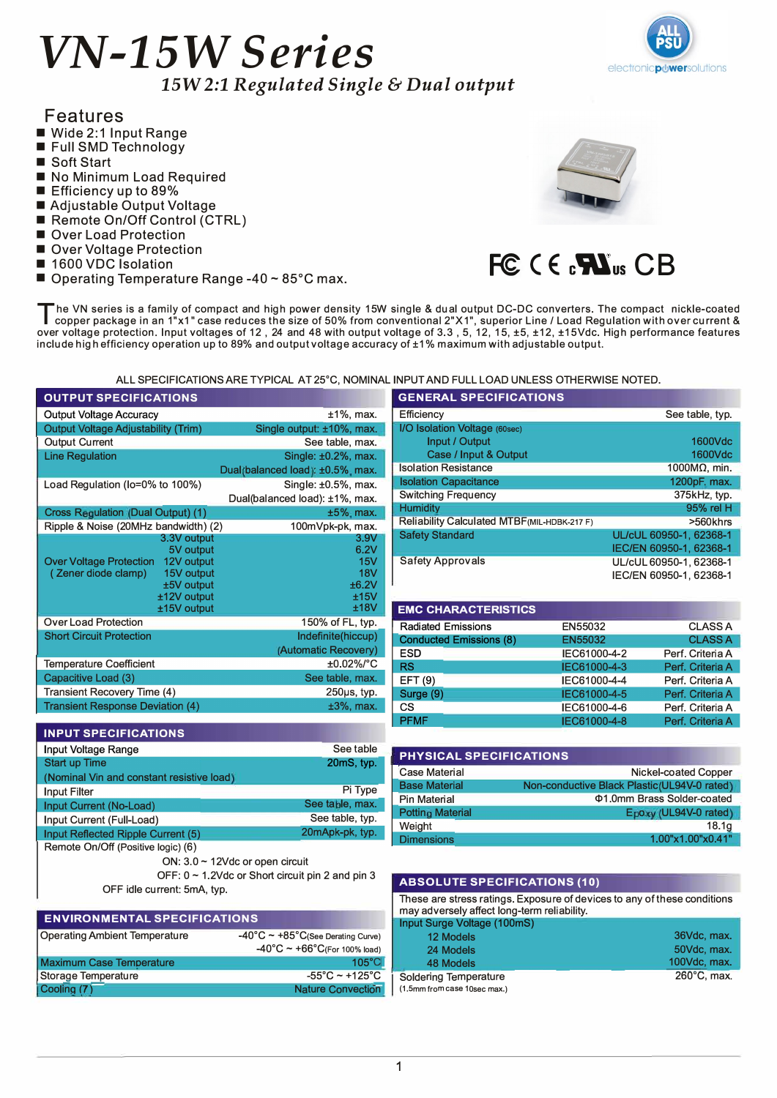# *VN-15W Series 15W 2:1 Regulated Single* & *Dual output*



### Features

- Wide 2:1 Input Range
- Full SMD Technology
- Soft Start
- No Minimum Load Required
- Efficiency up to 89%
- Adjustable Output Voltage
- Remote On/Off Control (CTRL)
- Over Load Protection
- Over Voltage Protection
- 1600 VDC Isolation
- Operating Temperature Range -40 ~ 85°C max.



# **F@ ( E c'i\lus CB**

The VN series is a family of compact and high power density 15W single & dual output DC-DC converters. The compact nickle-coated copper package in an 1"x1" case reduces the size of 50% from conventional 2"X1", superior Lin copper package in an 1"x1" case reduces the size of 50% from conventional 2"X1", superior Line / Load Regulation with over current & over voltage protection. Input voltages of 12, 24 and 48 with output voltage of 3.3, 5, 12, 15, ±5, ±12, ±15Vdc. High performance features include high efficiency operation up to 89% and output voltage accuracy of ±1 % maximum with adjustable output.

ALL SPECIFICATIONS ARE TYPICAL AT 25°C, NOMINAL INPUT AND FULL LOAD UNLESS OTHERWISE NOTED.

| <b>OUTPUT SPECIFICATIONS</b>                    |                                                       | <b>GENERAL SPECIFICATIONS</b>                |                                                                          |                                                                     |  |
|-------------------------------------------------|-------------------------------------------------------|----------------------------------------------|--------------------------------------------------------------------------|---------------------------------------------------------------------|--|
| Output Voltage Accuracy                         | $±1\%$ , max.                                         | Efficiency                                   |                                                                          | See table, typ.                                                     |  |
| <b>Output Voltage Adjustability (Trim)</b>      | Single output: ±10%, max.                             | I/O Isolation Voltage (60sec)                |                                                                          |                                                                     |  |
| <b>Output Current</b>                           | See table, max.                                       | Input / Output                               |                                                                          | 1600Vdc                                                             |  |
| <b>Line Regulation</b>                          | Single: $±0.2\%$ , max.                               | Case / Input & Output                        |                                                                          | 1600Vdc                                                             |  |
|                                                 | Dual(balanced load): ±0.5% max.                       | <b>Isolation Resistance</b>                  |                                                                          | 1000MΩ, min.                                                        |  |
| Load Regulation (Io=0% to 100%)                 | Single: ±0.5%, max.                                   | <b>Isolation Capacitance</b>                 |                                                                          | 1200pF, max.                                                        |  |
|                                                 | Dual(balanced load): ±1%, max.                        | <b>Switching Frequency</b>                   |                                                                          | 375kHz, typ.                                                        |  |
| <b>Cross Regulation (Dual Output) (1)</b>       | $±5%$ , max.                                          | <b>Humidity</b>                              |                                                                          | 95% rel H                                                           |  |
| Ripple & Noise (20MHz bandwidth) (2)            | 100mVpk-pk, max.                                      | Reliability Calculated MTBF (MIL-HDBK-217 F) |                                                                          | >560khrs                                                            |  |
| 3.3V output                                     | 3.9V                                                  | <b>Safety Standard</b>                       |                                                                          | UL/cUL 60950-1, 62368-1                                             |  |
| 5V output                                       | 6.2V                                                  |                                              |                                                                          | IEC/EN 60950-1, 62368-1                                             |  |
| Over Voltage Protection 12V output              | 15V                                                   | <b>Safety Approvals</b>                      |                                                                          | UL/cUL 60950-1, 62368-1                                             |  |
| (Zener diode clamp)<br>15V output<br>±5V output | <b>18V</b><br>±6.2V                                   |                                              |                                                                          | IEC/EN 60950-1, 62368-1                                             |  |
| ±12V output                                     | ±15V                                                  |                                              |                                                                          |                                                                     |  |
| ±15V output                                     | ±18V                                                  | <b>EMC CHARACTERISTICS</b>                   |                                                                          |                                                                     |  |
| <b>Over Load Protection</b>                     | 150% of FL, typ.                                      | <b>Radiated Emissions</b>                    | EN55032                                                                  | <b>CLASS A</b>                                                      |  |
| <b>Short Circuit Protection</b>                 | Indefinite(hiccup)                                    | <b>Conducted Emissions (8)</b>               | EN55032                                                                  | <b>CLASS A</b>                                                      |  |
|                                                 | (Automatic Recovery)                                  | <b>ESD</b>                                   | IEC61000-4-2                                                             | Perf. Criteria A                                                    |  |
| <b>Temperature Coefficient</b>                  | ±0.02%/°C                                             | <b>RS</b>                                    | IEC61000-4-3                                                             | Perf. Criteria A                                                    |  |
| Capacitive Load (3)                             | See table, max.                                       | EFT (9)                                      | IEC61000-4-4                                                             | Perf. Criteria A                                                    |  |
| Transient Recovery Time (4)                     | 250µs, typ.                                           | Surge (9)                                    | IEC61000-4-5                                                             | Perf. Criteria A                                                    |  |
| <b>Transient Response Deviation (4)</b>         | $±3\%$ , max.                                         | <b>CS</b>                                    | IEC61000-4-6                                                             | Perf. Criteria A                                                    |  |
|                                                 |                                                       | <b>PFMF</b>                                  | IEC61000-4-8                                                             | Perf. Criteria A                                                    |  |
| <b>INPUT SPECIFICATIONS</b>                     |                                                       |                                              |                                                                          |                                                                     |  |
| Input Voltage Range                             | See table                                             | PHYSICAL SPECIFICATIONS                      |                                                                          |                                                                     |  |
| <b>Start up Time</b>                            | 20mS, typ.                                            | <b>Case Material</b>                         |                                                                          |                                                                     |  |
| (Nominal Vin and constant resistive load)       |                                                       | <b>Base Material</b>                         |                                                                          | Nickel-coated Copper<br>Non-conductive Black Plastic(UL94V-0 rated) |  |
| <b>Input Filter</b>                             | Pi Type                                               | <b>Pin Material</b>                          |                                                                          | Φ1.0mm Brass Solder-coated                                          |  |
| Input Current (No-Load)                         | See table, max.                                       | <b>Potting Material</b>                      |                                                                          | Epoxy (UL94V-0 rated)                                               |  |
| Input Current (Full-Load)                       | See table, typ.                                       | Weight                                       |                                                                          | 18.1 <sub>g</sub>                                                   |  |
| Input Reflected Ripple Current (5)              | 20mApk-pk, typ.                                       | <b>Dimensions</b>                            |                                                                          | 1.00"x1.00"x0.41"                                                   |  |
| Remote On/Off (Positive logic) (6)              |                                                       |                                              |                                                                          |                                                                     |  |
|                                                 | ON: $3.0 \sim 12$ Vdc or open circuit                 |                                              |                                                                          |                                                                     |  |
|                                                 | OFF: 0 ~ 1.2Vdc or Short circuit pin 2 and pin 3      | <b>ABSOLUTE SPECIFICATIONS (10)</b>          |                                                                          |                                                                     |  |
| OFF idle current: 5mA, typ.                     |                                                       |                                              |                                                                          |                                                                     |  |
|                                                 |                                                       | may adversely affect long-term reliability.  | These are stress ratings. Exposure of devices to any of these conditions |                                                                     |  |
| <b>ENVIRONMENTAL SPECIFICATIONS</b>             |                                                       | Input Surge Voltage (100mS)                  |                                                                          |                                                                     |  |
| <b>Operating Ambient Temperature</b>            | $-40^{\circ}$ C ~ $+85^{\circ}$ C(See Derating Curve) | 12 Models                                    |                                                                          | 36Vdc, max.                                                         |  |
|                                                 | $-40^{\circ}$ C ~ +66°C(For 100% load)                | 24 Models                                    |                                                                          | 50Vdc, max.                                                         |  |
| <b>Maximum Case Temperature</b>                 | $105^{\circ}$ C                                       | <b>48 Models</b>                             |                                                                          | 100Vdc, max.                                                        |  |
| Storage Temperature                             | $-55^{\circ}$ C ~ +125°C                              | <b>Soldering Temperature</b>                 |                                                                          | 260°C, max.                                                         |  |
| Cooling (7)                                     | Nature Convection                                     | (1.5mm from case 10sec max.)                 |                                                                          |                                                                     |  |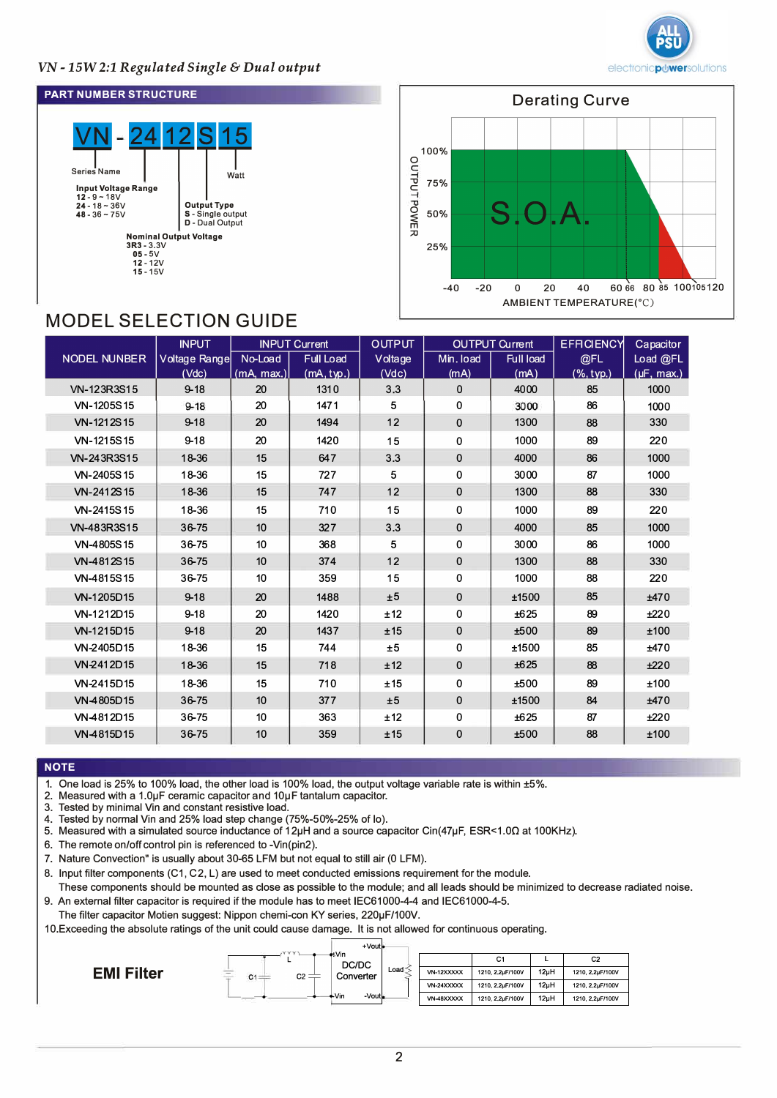

### *VN -15W2:1 Regulated Single* & *Dual output*

#### **PART NUMBER STRUCTURE**





## MODEL SELECTION GUIDE

| <b>INPUT</b>        |               | <b>INPUT Current</b> |                  | <b>OUTPUT</b> | <b>OUTPUT Current</b> |             | <b>EFFICIENCY</b> | Capacitor       |
|---------------------|---------------|----------------------|------------------|---------------|-----------------------|-------------|-------------------|-----------------|
| <b>NODEL NUNBER</b> | Voltage Range | No-Load              | <b>Full Load</b> | Voltage       | Min. load             | Full load   | @FL               | Load @FL        |
|                     | (Vdc)         | (mA, max.)           | (mA, typ.)       | (Vdc)         | (mA)                  | (mA)        | (% , typ.)        | $(\mu F, max.)$ |
| VN-123R3S15         | $9 - 18$      | 20                   | 1310             | 3.3           | $\Omega$              | 4000        | 85                | 1000            |
| VN-1205S15          | $9 - 18$      | 20                   | 1471             | 5             | $\Omega$              | 3000        | 86                | 1000            |
| VN-1212S15          | $9 - 18$      | 20                   | 1494             | 12            | 0                     | 1300        | 88                | 330             |
| VN-1215S15          | $9 - 18$      | 20                   | 1420             | 15            | 0                     | 1000        | 89                | 220             |
| VN-243R3S15         | 18-36         | 15                   | 647              | 3.3           | $\mathbf 0$           | 4000        | 86                | 1000            |
| VN-2405S15          | 18-36         | 15                   | 727              | 5             | 0                     | 3000        | 87                | 1000            |
| VN-2412S15          | 18-36         | 15                   | 747              | 12            | $\mathbf 0$           | 1300        | 88                | 330             |
| VN-2415S15          | 18-36         | 15                   | 710              | 15            | $\Omega$              | 1000        | 89                | 220             |
| VN-483R3S15         | 36-75         | 10                   | 327              | 3.3           | $\mathbf 0$           | 4000        | 85                | 1000            |
| VN-4805S15          | 36-75         | 10                   | 368              | 5             | 0                     | 3000        | 86                | 1000            |
| VN-4812S15          | 36-75         | 10                   | 374              | 12            | $\mathbf{0}$          | 1300        | 88                | 330             |
| VN-4815S15          | 36-75         | 10                   | 359              | 15            | 0                     | 1000        | 88                | 220             |
| VN-1205D15          | $9 - 18$      | 20                   | 1488             | ±5            | 0                     | ±1500       | 85                | ±470            |
| VN-1212D15          | $9 - 18$      | 20                   | 1420             | ±12           | 0                     | ±625        | 89                | ±220            |
| VN-1215D15          | $9 - 18$      | 20                   | 1437             | ±15           | $\mathbf{0}$          | ±500        | 89                | ±100            |
| VN-2405D15          | 18-36         | 15                   | 744              | ±5            | 0                     | ±1500       | 85                | ±470            |
| VN-2412D15          | 18-36         | 15                   | 718              | ±12           | $\mathbf{0}$          | ±625        | 88                | ±220            |
| VN-2415D15          | 18-36         | 15                   | 710              | ±15           | 0                     | ±500        | 89                | ±100            |
| VN-4805D15          | 36-75         | 10                   | 377              | ±5            | 0                     | ±1500       | 84                | ±470            |
| VN-4812D15          | 36-75         | 10 <sup>10</sup>     | 363              | ±12           | 0                     | ±625        | 87                | ±220            |
| VN-4815D15          | 36-75         | 10                   | 359              | ±15           | 0                     | <b>±500</b> | 88                | ±100            |

#### **NOTE**

1. One load is 25% to 100% load, the other load is 100% load, the output voltage variable rate is within ±5%.

- 2. Measured with a 1.0µF ceramic capacitor and 10µF tantalum capacitor.
- 3. Tested by minimal Vin and constant resistive load.
- 4. Tested by normal Vin and 25% load step change (75%-50%-25% of lo).
- 5. Measured with a simulated source inductance of 12µH and a source capacitor Cin(47µF, ESR<1.0O at 100KHz).

6. The remote on/off control pin is referenced to -Vin(pin2).

- 7. Nature Convection" is usually about 30-65 LFM but not equal to still air (0 LFM).
- 8. Input filter components (C1, C2, L) are used to meet conducted emissions requirement for the module.
- These components should be mounted as close as possible to the module; and all leads should be minimized to decrease radiated noise.
- 9. An external filter capacitor is required if the module has to meet IEC61000-4-4 and IEC61000-4-5.

The filter capacitor Motien suggest: Nippon chemi-con KY series, 220µF/100V.

1 0.Exceeding the absolute ratings of the unit could cause damage. It is not allowed for continuous operating.

|                   |                               | +Vout              |                   |                  |      |                  |
|-------------------|-------------------------------|--------------------|-------------------|------------------|------|------------------|
| <b>EMI Filter</b> | mm.                           | ₩Vin<br>DC/DC      |                   | C1               | -    | C <sub>2</sub>   |
|                   | ≑<br>$cz =$<br>C <sub>1</sub> | Load.<br>Converter | <b>VN-12XXXXX</b> | 1210, 2,2µF/100V | 12uH | 1210, 2,2µF/100V |
|                   |                               |                    | <b>VN-24XXXXX</b> | 1210, 2,2µF/100V | 12uH | 1210, 2,2µF/100V |
|                   |                               | -Vout<br>∔Vin      | VN-48XXXXX        | 1210, 2,2µF/100V | 12uH | 1210, 2,2µF/100V |